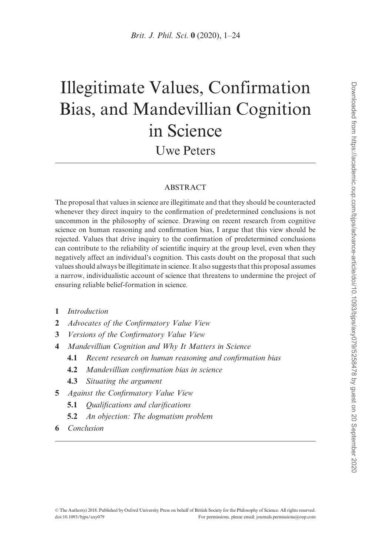# Illegitimate Values, Confirmation Bias, and Mandevillian Cognition in Science Uwe Peters

#### ABSTRACT

The proposal that values in science are illegitimate and that they should be counteracted whenever they direct inquiry to the confirmation of predetermined conclusions is not uncommon in the philosophy of science. Drawing on recent research from cognitive science on human reasoning and confirmation bias, I argue that this view should be rejected. Values that drive inquiry to the confirmation of predetermined conclusions can contribute to the reliability of scientific inquiry at the group level, even when they negatively affect an individual's cognition. This casts doubt on the proposal that such values should always be illegitimate in science. It also suggests that this proposal assumes a narrow, individualistic account of science that threatens to undermine the project of ensuring reliable belief-formation in science.

- 1 Introduction
- 2 Advocates of the Confirmatory Value View
- 3 Versions of the Confirmatory Value View
- 4 Mandevillian Cognition and Why It Matters in Science
	- 4.1 Recent research on human reasoning and confirmation bias
	- 4.2 Mandevillian confirmation bias in science
	- 4.3 Situating the argument
- 5 Against the Confirmatory Value View
	- 5.1 Qualifications and clarifications
	- 5.2 An objection: The dogmatism problem
- 6 Conclusion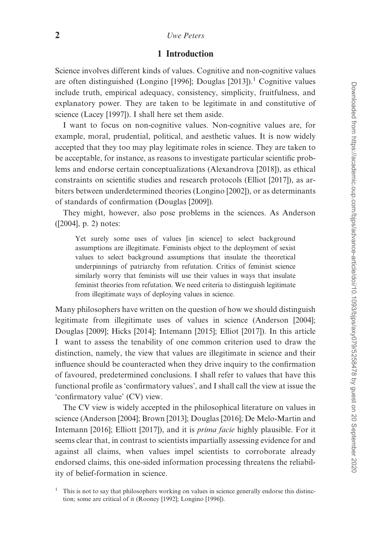# 1 Introduction

Science involves different kinds of values. Cognitive and non-cognitive values are often distinguished [\(Longino \[1996\]](#page-21-0); Douglas  $[2013]$ ).<sup>1</sup> Cognitive values include truth, empirical adequacy, consistency, simplicity, fruitfulness, and explanatory power. They are taken to be legitimate in and constitutive of science ([Lacey \[1997\]\)](#page-21-0). I shall here set them aside.

I want to focus on non-cognitive values. Non-cognitive values are, for example, moral, prudential, political, and aesthetic values. It is now widely accepted that they too may play legitimate roles in science. They are taken to be acceptable, for instance, as reasons to investigate particular scientific problems and endorse certain conceptualizations ([Alexandrova \[2018\]](#page-20-0)), as ethical constraints on scientific studies and research protocols ([Elliot \[2017\]\)](#page-21-0), as arbiters between underdetermined theories ([Longino \[2002\]](#page-22-0)), or as determinants of standards of confirmation [\(Douglas \[2009\]](#page-21-0)).

They might, however, also pose problems in the sciences. As Anderson ([\[2004](#page-20-0)], p. 2) notes:

Yet surely some uses of values [in science] to select background assumptions are illegitimate. Feminists object to the deployment of sexist values to select background assumptions that insulate the theoretical underpinnings of patriarchy from refutation. Critics of feminist science similarly worry that feminists will use their values in ways that insulate feminist theories from refutation. We need criteria to distinguish legitimate from illegitimate ways of deploying values in science.

Many philosophers have written on the question of how we should distinguish legitimate from illegitimate uses of values in science ([Anderson \[2004\]](#page-20-0); [Douglas \[2009\]](#page-21-0); [Hicks \[2014\]; Intemann \[2015\]](#page-21-0); [Elliot \[2017\]](#page-21-0)). In this article I want to assess the tenability of one common criterion used to draw the distinction, namely, the view that values are illegitimate in science and their influence should be counteracted when they drive inquiry to the confirmation of favoured, predetermined conclusions. I shall refer to values that have this functional profile as 'confirmatory values', and I shall call the view at issue the 'confirmatory value' (CV) view.

The CV view is widely accepted in the philosophical literature on values in science [\(Anderson \[2004\]; Brown \[2013\];](#page-20-0) [Douglas \[2016\]](#page-21-0); [De Melo-Martin and](#page-20-0) [Intemann \[2016\];](#page-20-0) [Elliott \[2017\]](#page-21-0)), and it is *prima facie* highly plausible. For it seems clear that, in contrast to scientists impartially assessing evidence for and against all claims, when values impel scientists to corroborate already endorsed claims, this one-sided information processing threatens the reliability of belief-formation in science.

<sup>1</sup> This is not to say that philosophers working on values in science generally endorse this distinction; some are critical of it ([Rooney \[1992\]](#page-22-0); [Longino \[1996\]](#page-21-0)).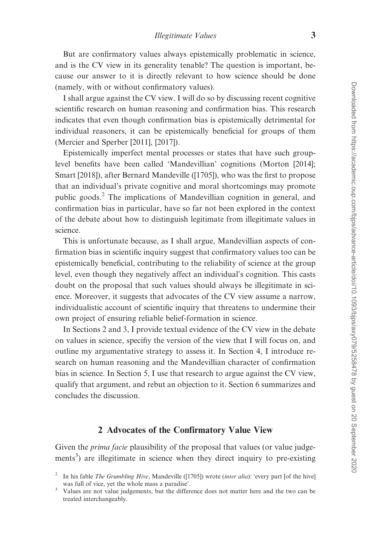But are confirmatory values always epistemically problematic in science, and is the CV view in its generality tenable? The question is important, because our answer to it is directly relevant to how science should be done (namely, with or without confirmatory values).

I shall argue against the CV view. I will do so by discussing recent cognitive scientific research on human reasoning and confirmation bias. This research indicates that even though confirmation bias is epistemically detrimental for individual reasoners, it can be epistemically beneficial for groups of them ([Mercier and Sperber \[2011\], \[2017\]](#page-22-0)).

Epistemically imperfect mental processes or states that have such grouplevel benefits have been called 'Mandevillian' cognitions [\(Morton \[2014\]](#page-22-0); [Smart \[2018\]\)](#page-22-0), after Bernard Mandeville ([\[1705](#page-22-0)]), who was the first to propose that an individual's private cognitive and moral shortcomings may promote public goods.<sup>2</sup> The implications of Mandevillian cognition in general, and confirmation bias in particular, have so far not been explored in the context of the debate about how to distinguish legitimate from illegitimate values in science.

This is unfortunate because, as I shall argue, Mandevillian aspects of confirmation bias in scientific inquiry suggest that confirmatory values too can be epistemically beneficial, contributing to the reliability of science at the group level, even though they negatively affect an individual's cognition. This casts doubt on the proposal that such values should always be illegitimate in science. Moreover, it suggests that advocates of the CV view assume a narrow, individualistic account of scientific inquiry that threatens to undermine their own project of ensuring reliable belief-formation in science.

In Sections 2 and 3, I provide textual evidence of the CV view in the debate on values in science, specifiy the version of the view that I will focus on, and outline my argumentative strategy to assess it. In Section 4, I introduce research on human reasoning and the Mandevillian character of confirmation bias in science. In Section 5, I use that research to argue against the CV view, qualify that argument, and rebut an objection to it. Section 6 summarizes and concludes the discussion.

# 2 Advocates of the Confirmatory Value View

Given the *prima facie* plausibility of the proposal that values (or value judgements<sup>3</sup>) are illegitimate in science when they direct inquiry to pre-existing

<sup>&</sup>lt;sup>2</sup> In his fable *The Grumbling Hive*, Mandeville ([\[1705](#page-22-0)]) wrote (*inter alia*): 'every part [of the hive] was full of vice, yet the whole mass a paradise'.<br><sup>3</sup> Values are not value judgements, but the difference does not matter here and the two can be

treated interchangeably.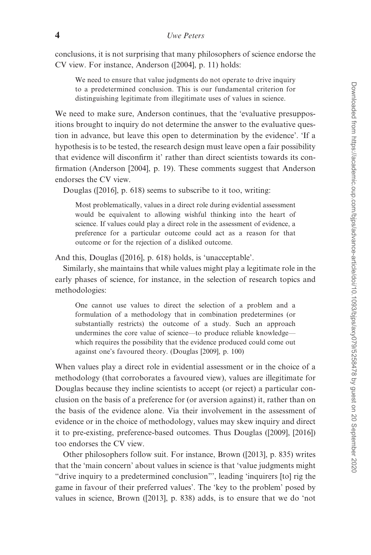conclusions, it is not surprising that many philosophers of science endorse the CV view. For instance, Anderson ([\[2004](#page-20-0)], p. 11) holds:

We need to ensure that value judgments do not operate to drive inquiry to a predetermined conclusion. This is our fundamental criterion for distinguishing legitimate from illegitimate uses of values in science.

We need to make sure, Anderson continues, that the 'evaluative presuppositions brought to inquiry do not determine the answer to the evaluative question in advance, but leave this open to determination by the evidence'. 'If a hypothesis is to be tested, the research design must leave open a fair possibility that evidence will disconfirm it' rather than direct scientists towards its confirmation ([Anderson \[2004\]](#page-20-0), p. 19). These comments suggest that Anderson endorses the CV view.

Douglas ([[2016\]](#page-21-0), p. 618) seems to subscribe to it too, writing:

Most problematically, values in a direct role during evidential assessment would be equivalent to allowing wishful thinking into the heart of science. If values could play a direct role in the assessment of evidence, a preference for a particular outcome could act as a reason for that outcome or for the rejection of a disliked outcome.

And this, Douglas ([[2016\]](#page-21-0), p. 618) holds, is 'unacceptable'.

Similarly, she maintains that while values might play a legitimate role in the early phases of science, for instance, in the selection of research topics and methodologies:

One cannot use values to direct the selection of a problem and a formulation of a methodology that in combination predetermines (or substantially restricts) the outcome of a study. Such an approach undermines the core value of science—to produce reliable knowledge which requires the possibility that the evidence produced could come out against one's favoured theory. [\(Douglas \[2009\],](#page-21-0) p. 100)

When values play a direct role in evidential assessment or in the choice of a methodology (that corroborates a favoured view), values are illegitimate for Douglas because they incline scientists to accept (or reject) a particular conclusion on the basis of a preference for (or aversion against) it, rather than on the basis of the evidence alone. Via their involvement in the assessment of evidence or in the choice of methodology, values may skew inquiry and direct it to pre-existing, preference-based outcomes. Thus Douglas ([[2009\]](#page-21-0), [[2016\]](#page-21-0)) too endorses the CV view.

Other philosophers follow suit. For instance, Brown ([\[2013](#page-20-0)], p. 835) writes that the 'main concern' about values in science is that 'value judgments might "drive inquiry to a predetermined conclusion"', leading 'inquirers [to] rig the game in favour of their preferred values'. The 'key to the problem' posed by values in science, Brown ([\[2013](#page-20-0)], p. 838) adds, is to ensure that we do 'not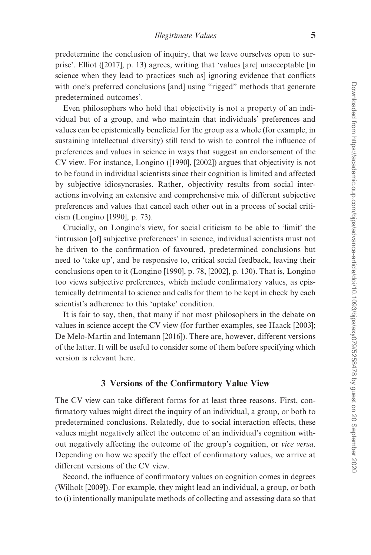predetermine the conclusion of inquiry, that we leave ourselves open to surprise'. Elliot ([\[2017](#page-21-0)], p. 13) agrees, writing that 'values [are] unacceptable [in science when they lead to practices such as] ignoring evidence that conflicts with one's preferred conclusions [and] using "rigged" methods that generate predetermined outcomes'.

Even philosophers who hold that objectivity is not a property of an individual but of a group, and who maintain that individuals' preferences and values can be epistemically beneficial for the group as a whole (for example, in sustaining intellectual diversity) still tend to wish to control the influence of preferences and values in science in ways that suggest an endorsement of the CV view. For instance, Longino ([[1990](#page-21-0)], [[2002\]](#page-22-0)) argues that objectivity is not to be found in individual scientists since their cognition is limited and affected by subjective idiosyncrasies. Rather, objectivity results from social interactions involving an extensive and comprehensive mix of different subjective preferences and values that cancel each other out in a process of social criticism ([Longino \[1990\]](#page-21-0), p. 73).

Crucially, on Longino's view, for social criticism to be able to 'limit' the 'intrusion [of] subjective preferences' in science, individual scientists must not be driven to the confirmation of favoured, predetermined conclusions but need to 'take up', and be responsive to, critical social feedback, leaving their conclusions open to it ([Longino \[1990\]](#page-21-0), p. 78, [\[2002\]](#page-22-0), p. 130). That is, Longino too views subjective preferences, which include confirmatory values, as epistemically detrimental to science and calls for them to be kept in check by each scientist's adherence to this 'uptake' condition.

It is fair to say, then, that many if not most philosophers in the debate on values in science accept the CV view (for further examples, see [Haack \[2003\]](#page-21-0); [De Melo-Martin and Intemann \[2016\]\)](#page-20-0). There are, however, different versions of the latter. It will be useful to consider some of them before specifying which version is relevant here.

#### 3 Versions of the Confirmatory Value View

The CV view can take different forms for at least three reasons. First, confirmatory values might direct the inquiry of an individual, a group, or both to predetermined conclusions. Relatedly, due to social interaction effects, these values might negatively affect the outcome of an individual's cognition without negatively affecting the outcome of the group's cognition, or vice versa. Depending on how we specify the effect of confirmatory values, we arrive at different versions of the CV view.

Second, the influence of confirmatory values on cognition comes in degrees ([Wilholt \[2009\]\)](#page-23-0). For example, they might lead an individual, a group, or both to (i) intentionally manipulate methods of collecting and assessing data so that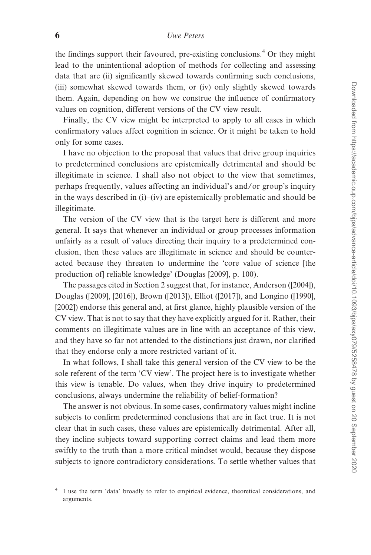the findings support their favoured, pre-existing conclusions.<sup>4</sup> Or they might lead to the unintentional adoption of methods for collecting and assessing data that are (ii) significantly skewed towards confirming such conclusions, (iii) somewhat skewed towards them, or (iv) only slightly skewed towards them. Again, depending on how we construe the influence of confirmatory values on cognition, different versions of the CV view result.

Finally, the CV view might be interpreted to apply to all cases in which confirmatory values affect cognition in science. Or it might be taken to hold only for some cases.

I have no objection to the proposal that values that drive group inquiries to predetermined conclusions are epistemically detrimental and should be illegitimate in science. I shall also not object to the view that sometimes, perhaps frequently, values affecting an individual's and/or group's inquiry in the ways described in (i)–(iv) are epistemically problematic and should be illegitimate.

The version of the CV view that is the target here is different and more general. It says that whenever an individual or group processes information unfairly as a result of values directing their inquiry to a predetermined conclusion, then these values are illegitimate in science and should be counteracted because they threaten to undermine the 'core value of science [the production of] reliable knowledge' [\(Douglas \[2009\]](#page-21-0), p. 100).

The passages cited in Section 2 suggest that, for instance, Anderson ([\[2004](#page-20-0)]), Douglas ([[2009\]](#page-21-0), [[2016\]](#page-21-0)), Brown ([\[2013](#page-20-0)]), Elliot ([\[2017](#page-21-0)]), and Longino ([[1990](#page-21-0)], [\[2002](#page-22-0)]) endorse this general and, at first glance, highly plausible version of the CV view. That is not to say that they have explicitly argued for it. Rather, their comments on illegitimate values are in line with an acceptance of this view, and they have so far not attended to the distinctions just drawn, nor clarified that they endorse only a more restricted variant of it.

In what follows, I shall take this general version of the CV view to be the sole referent of the term 'CV view'. The project here is to investigate whether this view is tenable. Do values, when they drive inquiry to predetermined conclusions, always undermine the reliability of belief-formation?

The answer is not obvious. In some cases, confirmatory values might incline subjects to confirm predetermined conclusions that are in fact true. It is not clear that in such cases, these values are epistemically detrimental. After all, they incline subjects toward supporting correct claims and lead them more swiftly to the truth than a more critical mindset would, because they dispose subjects to ignore contradictory considerations. To settle whether values that

I use the term 'data' broadly to refer to empirical evidence, theoretical considerations, and arguments.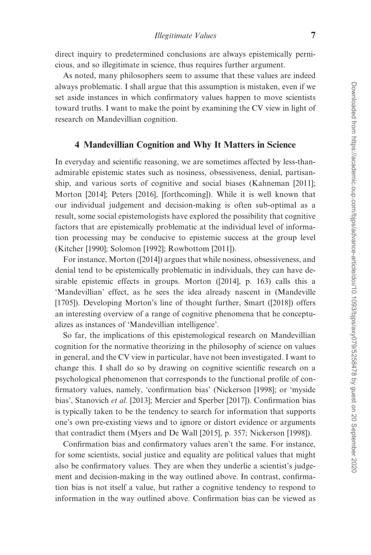direct inquiry to predetermined conclusions are always epistemically pernicious, and so illegitimate in science, thus requires further argument.

As noted, many philosophers seem to assume that these values are indeed always problematic. I shall argue that this assumption is mistaken, even if we set aside instances in which confirmatory values happen to move scientists toward truths. I want to make the point by examining the CV view in light of research on Mandevillian cognition.

# 4 Mandevillian Cognition and Why It Matters in Science

In everyday and scientific reasoning, we are sometimes affected by less-thanadmirable epistemic states such as nosiness, obsessiveness, denial, partisanship, and various sorts of cognitive and social biases ([Kahneman \[2011\]](#page-21-0); [Morton \[2014\]](#page-22-0); [Peters \[2016\]](#page-22-0), [\[forthcoming\]](#page-22-0)). While it is well known that our individual judgement and decision-making is often sub-optimal as a result, some social epistemologists have explored the possibility that cognitive factors that are epistemically problematic at the individual level of information processing may be conducive to epistemic success at the group level ([Kitcher \[1990\]](#page-21-0); [Solomon \[1992\]](#page-22-0); [Rowbottom \[2011\]\)](#page-22-0).

For instance, Morton ([\[2014](#page-22-0)]) argues that while nosiness, obsessiveness, and denial tend to be epistemically problematic in individuals, they can have desirable epistemic effects in groups. Morton ([\[2014](#page-22-0)], p. 163) calls this a 'Mandevillian' effect, as he sees the idea already nascent in [\(Mandeville](#page-22-0) [\[1705\]\)](#page-22-0). Developing Morton's line of thought further, Smart ([\[2018](#page-22-0)]) offers an interesting overview of a range of cognitive phenomena that he conceptualizes as instances of 'Mandevillian intelligence'.

So far, the implications of this epistemological research on Mandevillian cognition for the normative theorizing in the philosophy of science on values in general, and the CV view in particular, have not been investigated. I want to change this. I shall do so by drawing on cognitive scientific research on a psychological phenomenon that corresponds to the functional profile of confirmatory values, namely, 'confirmation bias' ([Nickerson \[1998\]](#page-22-0); or 'myside bias', [Stanovich](#page-23-0) et al. [2013]; [Mercier and Sperber \[2017\]\)](#page-22-0). Confirmation bias is typically taken to be the tendency to search for information that supports one's own pre-existing views and to ignore or distort evidence or arguments that contradict them [\(Myers and De Wall \[2015\]](#page-22-0), p. 357; [Nickerson \[1998\]\)](#page-22-0).

Confirmation bias and confirmatory values aren't the same. For instance, for some scientists, social justice and equality are political values that might also be confirmatory values. They are when they underlie a scientist's judgement and decision-making in the way outlined above. In contrast, confirmation bias is not itself a value, but rather a cognitive tendency to respond to information in the way outlined above. Confirmation bias can be viewed as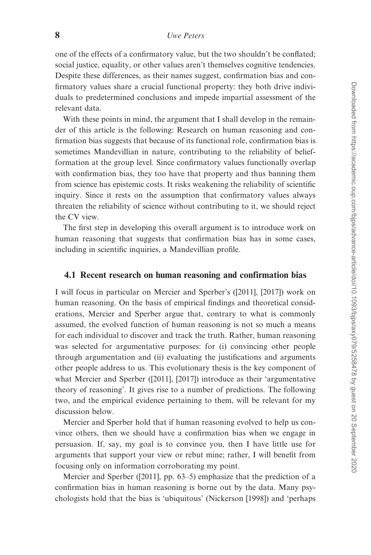one of the effects of a confirmatory value, but the two shouldn't be conflated; social justice, equality, or other values aren't themselves cognitive tendencies. Despite these differences, as their names suggest, confirmation bias and confirmatory values share a crucial functional property: they both drive individuals to predetermined conclusions and impede impartial assessment of the relevant data.

With these points in mind, the argument that I shall develop in the remainder of this article is the following: Research on human reasoning and confirmation bias suggests that because of its functional role, confirmation bias is sometimes Mandevillian in nature, contributing to the reliability of beliefformation at the group level. Since confirmatory values functionally overlap with confirmation bias, they too have that property and thus banning them from science has epistemic costs. It risks weakening the reliability of scientific inquiry. Since it rests on the assumption that confirmatory values always threaten the reliability of science without contributing to it, we should reject the CV view.

The first step in developing this overall argument is to introduce work on human reasoning that suggests that confirmation bias has in some cases, including in scientific inquiries, a Mandevillian profile.

## 4.1 Recent research on human reasoning and confirmation bias

I will focus in particular on Mercier and Sperber's ([[2011\]](#page-22-0), [[2017\]](#page-22-0)) work on human reasoning. On the basis of empirical findings and theoretical considerations, Mercier and Sperber argue that, contrary to what is commonly assumed, the evolved function of human reasoning is not so much a means for each individual to discover and track the truth. Rather, human reasoning was selected for argumentative purposes: for (i) convincing other people through argumentation and (ii) evaluating the justifications and arguments other people address to us. This evolutionary thesis is the key component of what Mercier and Sperber ([[2011\]](#page-22-0), [[2017](#page-22-0)]) introduce as their 'argumentative theory of reasoning'. It gives rise to a number of predictions. The following two, and the empirical evidence pertaining to them, will be relevant for my discussion below.

Mercier and Sperber hold that if human reasoning evolved to help us convince others, then we should have a confirmation bias when we engage in persuasion. If, say, my goal is to convince you, then I have little use for arguments that support your view or rebut mine; rather, I will benefit from focusing only on information corroborating my point.

Mercier and Sperber ([\[2011](#page-22-0)], pp. 63–5) emphasize that the prediction of a confirmation bias in human reasoning is borne out by the data. Many psychologists hold that the bias is 'ubiquitous' ([Nickerson \[1998\]\)](#page-22-0) and 'perhaps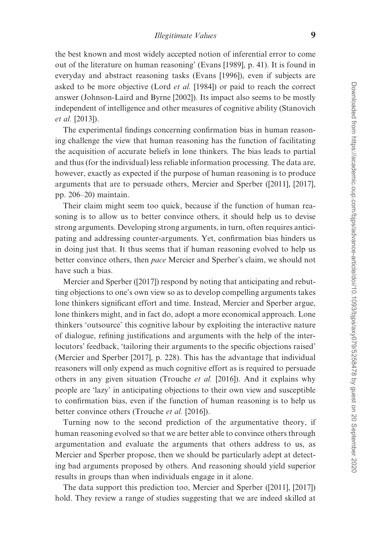the best known and most widely accepted notion of inferential error to come out of the literature on human reasoning' [\(Evans \[1989\]](#page-21-0), p. 41). It is found in everyday and abstract reasoning tasks [\(Evans \[1996\]\)](#page-21-0), even if subjects are asked to be more objective (Lord *et al.* [\[1984\]](#page-22-0)) or paid to reach the correct answer ([Johnson-Laird and Byrne \[2002\]](#page-21-0)). Its impact also seems to be mostly independent of intelligence and other measures of cognitive ability [\(Stanovich](#page-23-0) et al. [\[2013\]\)](#page-23-0).

The experimental findings concerning confirmation bias in human reasoning challenge the view that human reasoning has the function of facilitating the acquisition of accurate beliefs in lone thinkers. The bias leads to partial and thus (for the individual) less reliable information processing. The data are, however, exactly as expected if the purpose of human reasoning is to produce arguments that are to persuade others, Mercier and Sperber ([[2011\]](#page-22-0), [[2017](#page-22-0)], pp. 206–20) maintain.

Their claim might seem too quick, because if the function of human reasoning is to allow us to better convince others, it should help us to devise strong arguments. Developing strong arguments, in turn, often requires anticipating and addressing counter-arguments. Yet, confirmation bias hinders us in doing just that. It thus seems that if human reasoning evolved to help us better convince others, then pace Mercier and Sperber's claim, we should not have such a bias.

Mercier and Sperber ([\[2017\]\)](#page-22-0) respond by noting that anticipating and rebutting objections to one's own view so as to develop compelling arguments takes lone thinkers significant effort and time. Instead, Mercier and Sperber argue, lone thinkers might, and in fact do, adopt a more economical approach. Lone thinkers 'outsource' this cognitive labour by exploiting the interactive nature of dialogue, refining justifications and arguments with the help of the interlocutors' feedback, 'tailoring their arguments to the specific objections raised' ([Mercier and Sperber \[2017\]](#page-22-0), p. 228). This has the advantage that individual reasoners will only expend as much cognitive effort as is required to persuade others in any given situation ([Trouche](#page-23-0) et al. [2016]). And it explains why people are 'lazy' in anticipating objections to their own view and susceptible to confirmation bias, even if the function of human reasoning is to help us better convince others [\(Trouche](#page-23-0) et al. [2016]).

Turning now to the second prediction of the argumentative theory, if human reasoning evolved so that we are better able to convince others through argumentation and evaluate the arguments that others address to us, as Mercier and Sperber propose, then we should be particularly adept at detecting bad arguments proposed by others. And reasoning should yield superior results in groups than when individuals engage in it alone.

The data support this prediction too, Mercier and Sperber ([\[2011](#page-22-0)], [[2017\]](#page-22-0)) hold. They review a range of studies suggesting that we are indeed skilled at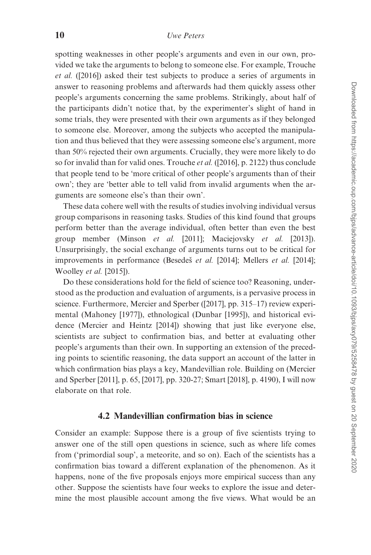spotting weaknesses in other people's arguments and even in our own, provided we take the arguments to belong to someone else. For example, Trouche et al. ([\[2016](#page-23-0)]) asked their test subjects to produce a series of arguments in answer to reasoning problems and afterwards had them quickly assess other people's arguments concerning the same problems. Strikingly, about half of the participants didn't notice that, by the experimenter's slight of hand in some trials, they were presented with their own arguments as if they belonged to someone else. Moreover, among the subjects who accepted the manipulation and thus believed that they were assessing someone else's argument, more than 50% rejected their own arguments. Crucially, they were more likely to do so for invalid than for valid ones. Trouche et al. ([[2016\]](#page-23-0), p. 2122) thus conclude that people tend to be 'more critical of other people's arguments than of their own'; they are 'better able to tell valid from invalid arguments when the arguments are someone else's than their own'.

These data cohere well with the results of studies involving individual versus group comparisons in reasoning tasks. Studies of this kind found that groups perform better than the average individual, often better than even the best group member [\(Minson](#page-22-0) et al. [2011]; [Maciejovsky](#page-22-0) et al. [2013]). Unsurprisingly, the social exchange of arguments turns out to be critical for improvements in performance (Besedes̆ et al. [2014]; [Mellers](#page-22-0) et al. [2014]; [Woolley](#page-23-0) et al. [2015]).

Do these considerations hold for the field of science too? Reasoning, understood as the production and evaluation of arguments, is a pervasive process in science. Furthermore, Mercier and Sperber ([[2017\]](#page-22-0), pp. 315–17) review experimental [\(Mahoney \[1977\]\)](#page-22-0), ethnological ([Dunbar \[1995\]](#page-21-0)), and historical evidence ([Mercier and Heintz \[2014\]](#page-22-0)) showing that just like everyone else, scientists are subject to confirmation bias, and better at evaluating other people's arguments than their own. In supporting an extension of the preceding points to scientific reasoning, the data support an account of the latter in which confirmation bias plays a key, Mandevillian role. Building on ([Mercier](#page-22-0) [and Sperber \[2011\],](#page-22-0) p. 65, [\[2017\]](#page-22-0), pp. 320-27; [Smart \[2018\]](#page-22-0), p. 4190), I will now elaborate on that role.

#### 4.2 Mandevillian confirmation bias in science

Consider an example: Suppose there is a group of five scientists trying to answer one of the still open questions in science, such as where life comes from ('primordial soup', a meteorite, and so on). Each of the scientists has a confirmation bias toward a different explanation of the phenomenon. As it happens, none of the five proposals enjoys more empirical success than any other. Suppose the scientists have four weeks to explore the issue and determine the most plausible account among the five views. What would be an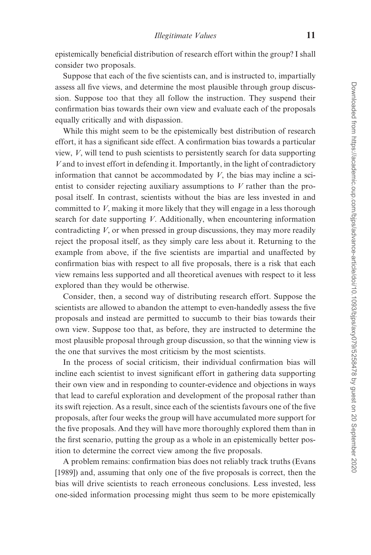epistemically beneficial distribution of research effort within the group? I shall consider two proposals.

Suppose that each of the five scientists can, and is instructed to, impartially assess all five views, and determine the most plausible through group discussion. Suppose too that they all follow the instruction. They suspend their confirmation bias towards their own view and evaluate each of the proposals equally critically and with dispassion.

While this might seem to be the epistemically best distribution of research effort, it has a significant side effect. A confirmation bias towards a particular view, V, will tend to push scientists to persistently search for data supporting V and to invest effort in defending it. Importantly, in the light of contradictory information that cannot be accommodated by  $V$ , the bias may incline a scientist to consider rejecting auxiliary assumptions to  $V$  rather than the proposal itself. In contrast, scientists without the bias are less invested in and committed to V, making it more likely that they will engage in a less thorough search for date supporting V. Additionally, when encountering information contradicting V, or when pressed in group discussions, they may more readily reject the proposal itself, as they simply care less about it. Returning to the example from above, if the five scientists are impartial and unaffected by confirmation bias with respect to all five proposals, there is a risk that each view remains less supported and all theoretical avenues with respect to it less explored than they would be otherwise.

Consider, then, a second way of distributing research effort. Suppose the scientists are allowed to abandon the attempt to even-handedly assess the five proposals and instead are permitted to succumb to their bias towards their own view. Suppose too that, as before, they are instructed to determine the most plausible proposal through group discussion, so that the winning view is the one that survives the most criticism by the most scientists.

In the process of social criticism, their individual confirmation bias will incline each scientist to invest significant effort in gathering data supporting their own view and in responding to counter-evidence and objections in ways that lead to careful exploration and development of the proposal rather than its swift rejection. As a result, since each of the scientists favours one of the five proposals, after four weeks the group will have accumulated more support for the five proposals. And they will have more thoroughly explored them than in the first scenario, putting the group as a whole in an epistemically better position to determine the correct view among the five proposals.

A problem remains: confirmation bias does not reliably track truths ([Evans](#page-21-0) [\[1989\]\)](#page-21-0) and, assuming that only one of the five proposals is correct, then the bias will drive scientists to reach erroneous conclusions. Less invested, less one-sided information processing might thus seem to be more epistemically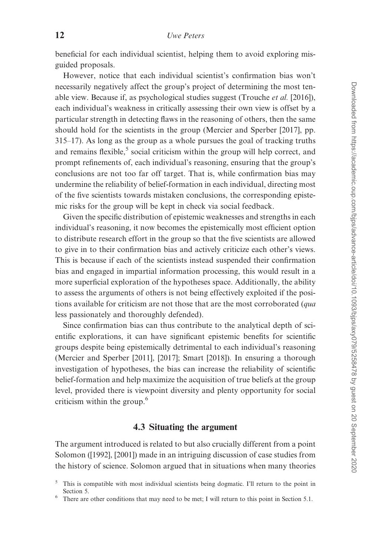beneficial for each individual scientist, helping them to avoid exploring misguided proposals.

However, notice that each individual scientist's confirmation bias won't necessarily negatively affect the group's project of determining the most tenable view. Because if, as psychological studies suggest ([Trouche](#page-23-0) et al. [2016]), each individual's weakness in critically assessing their own view is offset by a particular strength in detecting flaws in the reasoning of others, then the same should hold for the scientists in the group ([Mercier and Sperber \[2017\],](#page-22-0) pp. 315–17). As long as the group as a whole pursues the goal of tracking truths and remains flexible, $5$  social criticism within the group will help correct, and prompt refinements of, each individual's reasoning, ensuring that the group's conclusions are not too far off target. That is, while confirmation bias may undermine the reliability of belief-formation in each individual, directing most of the five scientists towards mistaken conclusions, the corresponding epistemic risks for the group will be kept in check via social feedback.

Given the specific distribution of epistemic weaknesses and strengths in each individual's reasoning, it now becomes the epistemically most efficient option to distribute research effort in the group so that the five scientists are allowed to give in to their confirmation bias and actively criticize each other's views. This is because if each of the scientists instead suspended their confirmation bias and engaged in impartial information processing, this would result in a more superficial exploration of the hypotheses space. Additionally, the ability to assess the arguments of others is not being effectively exploited if the positions available for criticism are not those that are the most corroborated (qua less passionately and thoroughly defended).

Since confirmation bias can thus contribute to the analytical depth of scientific explorations, it can have significant epistemic benefits for scientific groups despite being epistemically detrimental to each individual's reasoning ([Mercier and Sperber \[2011\], \[2017\]](#page-22-0); [Smart \[2018\]\)](#page-22-0). In ensuring a thorough investigation of hypotheses, the bias can increase the reliability of scientific belief-formation and help maximize the acquisition of true beliefs at the group level, provided there is viewpoint diversity and plenty opportunity for social criticism within the group.<sup>6</sup>

# 4.3 Situating the argument

The argument introduced is related to but also crucially different from a point Solomon ([\[1992](#page-22-0)], [\[2001\]](#page-23-0)) made in an intriguing discussion of case studies from the history of science. Solomon argued that in situations when many theories

<sup>&</sup>lt;sup>5</sup> This is compatible with most individual scientists being dogmatic. I'll return to the point in Section 5.<br>There are other conditions that may need to be met; I will return to this point in Section 5.1.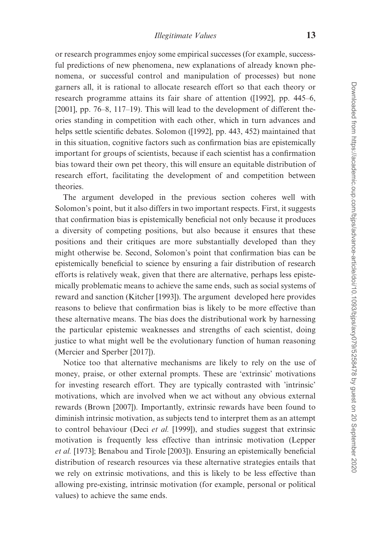or research programmes enjoy some empirical successes (for example, successful predictions of new phenomena, new explanations of already known phenomena, or successful control and manipulation of processes) but none garners all, it is rational to allocate research effort so that each theory or research programme attains its fair share of attention ([\[1992](#page-22-0)], pp. 445–6, [ $2001$ ], pp. 76–8,  $117–19$ ). This will lead to the development of different theories standing in competition with each other, which in turn advances and helps settle scientific debates. Solomon ([[1992](#page-22-0)], pp. 443, 452) maintained that in this situation, cognitive factors such as confirmation bias are epistemically important for groups of scientists, because if each scientist has a confirmation bias toward their own pet theory, this will ensure an equitable distribution of research effort, facilitating the development of and competition between theories.

The argument developed in the previous section coheres well with Solomon's point, but it also differs in two important respects. First, it suggests that confirmation bias is epistemically beneficial not only because it produces a diversity of competing positions, but also because it ensures that these positions and their critiques are more substantially developed than they might otherwise be. Second, Solomon's point that confirmation bias can be epistemically beneficial to science by ensuring a fair distribution of research efforts is relatively weak, given that there are alternative, perhaps less epistemically problematic means to achieve the same ends, such as social systems of reward and sanction [\(Kitcher \[1993\]](#page-21-0)). The argument developed here provides reasons to believe that confirmation bias is likely to be more effective than these alternative means. The bias does the distributional work by harnessing the particular epistemic weaknesses and strengths of each scientist, doing justice to what might well be the evolutionary function of human reasoning ([Mercier and Sperber \[2017\]\)](#page-22-0).

Notice too that alternative mechanisms are likely to rely on the use of money, praise, or other external prompts. These are 'extrinsic' motivations for investing research effort. They are typically contrasted with 'intrinsic' motivations, which are involved when we act without any obvious external rewards [\(Brown \[2007\]](#page-20-0)). Importantly, extrinsic rewards have been found to diminish intrinsic motivation, as subjects tend to interpret them as an attempt to control behaviour (Deci et al. [\[1999\]\)](#page-21-0), and studies suggest that extrinsic motivation is frequently less effective than intrinsic motivation ([Lepper](#page-21-0) et al. [\[1973\];](#page-21-0) [Benabou and Tirole \[2003\]](#page-20-0)). Ensuring an epistemically beneficial distribution of research resources via these alternative strategies entails that we rely on extrinsic motivations, and this is likely to be less effective than allowing pre-existing, intrinsic motivation (for example, personal or political values) to achieve the same ends.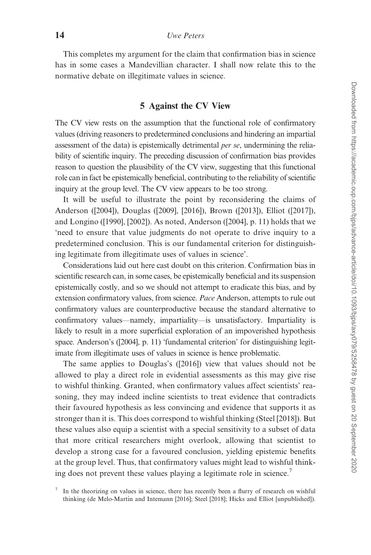This completes my argument for the claim that confirmation bias in science has in some cases a Mandevillian character. I shall now relate this to the normative debate on illegitimate values in science.

## 5 Against the CV View

The CV view rests on the assumption that the functional role of confirmatory values (driving reasoners to predetermined conclusions and hindering an impartial assessment of the data) is epistemically detrimental *per se*, undermining the reliability of scientific inquiry. The preceding discussion of confirmation bias provides reason to question the plausibility of the CV view, suggesting that this functional role can in fact be epistemically beneficial, contributing to the reliability of scientific inquiry at the group level. The CV view appears to be too strong.

It will be useful to illustrate the point by reconsidering the claims of Anderson ([[2004\]](#page-20-0)), Douglas ([[2009\]](#page-21-0), [\[2016](#page-21-0)]), Brown ([[2013\]](#page-20-0)), Elliot ([\[2017](#page-21-0)]), and Longino ([[1990](#page-21-0)], [\[2002](#page-21-0)]). As noted, Anderson ([\[2004](#page-20-0)], p. 11) holds that we 'need to ensure that value judgments do not operate to drive inquiry to a predetermined conclusion. This is our fundamental criterion for distinguishing legitimate from illegitimate uses of values in science'.

Considerations laid out here cast doubt on this criterion. Confirmation bias in scientific research can, in some cases, be epistemically beneficial and its suspension epistemically costly, and so we should not attempt to eradicate this bias, and by extension confirmatory values, from science. Pace Anderson, attempts to rule out confirmatory values are counterproductive because the standard alternative to confirmatory values—namely, impartiality—is unsatisfactory. Impartiality is likely to result in a more superficial exploration of an impoverished hypothesis space. Anderson's ([\[2004](#page-20-0)], p. 11) 'fundamental criterion' for distinguishing legitimate from illegitimate uses of values in science is hence problematic.

The same applies to Douglas's ([[2016\]](#page-21-0)) view that values should not be allowed to play a direct role in evidential assessments as this may give rise to wishful thinking. Granted, when confirmatory values affect scientists' reasoning, they may indeed incline scientists to treat evidence that contradicts their favoured hypothesis as less convincing and evidence that supports it as stronger than it is. This does correspond to wishful thinking ([Steel \[2018\]](#page-23-0)). But these values also equip a scientist with a special sensitivity to a subset of data that more critical researchers might overlook, allowing that scientist to develop a strong case for a favoured conclusion, yielding epistemic benefits at the group level. Thus, that confirmatory values might lead to wishful thinking does not prevent these values playing a legitimate role in science.<sup>7</sup>

In the theorizing on values in science, there has recently been a flurry of research on wishful thinking (de Melo-Martín and Intemann [2016]; [Steel \[2018\];](#page-23-0) [Hicks and Elliot \[unpublished\]](#page-21-0)).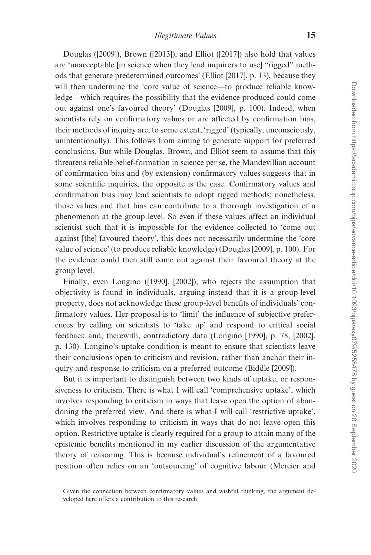Douglas ([[2009\]](#page-21-0)), Brown ([\[2013](#page-20-0)]), and Elliot ([[2017\]](#page-21-0)) also hold that values are 'unacceptable [in science when they lead inquirers to use] "rigged" methods that generate predetermined outcomes' [\(Elliot \[2017\]](#page-21-0), p. 13), because they will then undermine the 'core value of science—to produce reliable knowledge—which requires the possibility that the evidence produced could come out against one's favoured theory' ([Douglas \[2009\],](#page-21-0) p. 100). Indeed, when scientists rely on confirmatory values or are affected by confirmation bias, their methods of inquiry are, to some extent, 'rigged' (typically, unconsciously, unintentionally). This follows from aiming to generate support for preferred conclusions. But while Douglas, Brown, and Elliot seem to assume that this threatens reliable belief-formation in science per se, the Mandevillian account of confirmation bias and (by extension) confirmatory values suggests that in some scientific inquiries, the opposite is the case. Confirmatory values and confirmation bias may lead scientists to adopt rigged methods; nonetheless, those values and that bias can contribute to a thorough investigation of a phenomenon at the group level. So even if these values affect an individual scientist such that it is impossible for the evidence collected to 'come out against [the] favoured theory', this does not necessarily undermine the 'core value of science' (to produce reliable knowledge) ([Douglas \[2009\],](#page-21-0) p. 100). For the evidence could then still come out against their favoured theory at the group level.

Finally, even Longino ([\[1990](#page-21-0)], [\[2002](#page-22-0)]), who rejects the assumption that objectivity is found in individuals, arguing instead that it is a group-level property, does not acknowledge these group-level benefits of individuals' confirmatory values. Her proposal is to 'limit' the influence of subjective preferences by calling on scientists to 'take up' and respond to critical social feedback and, therewith, contradictory data [\(Longino \[1990\],](#page-21-0) p. 78, [\[2002\]](#page-22-0), p. 130). Longino's uptake condition is meant to ensure that scientists leave their conclusions open to criticism and revision, rather than anchor their inquiry and response to criticism on a preferred outcome ([Biddle \[2009\]](#page-20-0)).

But it is important to distinguish between two kinds of uptake, or responsiveness to criticism. There is what I will call 'comprehensive uptake', which involves responding to criticism in ways that leave open the option of abandoning the preferred view. And there is what I will call 'restrictive uptake', which involves responding to criticism in ways that do not leave open this option. Restrictive uptake is clearly required for a group to attain many of the epistemic benefits mentioned in my earlier discussion of the argumentative theory of reasoning. This is because individual's refinement of a favoured position often relies on an 'outsourcing' of cognitive labour ([Mercier and](#page-22-0)

Given the connection between confirmatory values and wishful thinking, the argument developed here offers a contribution to this research.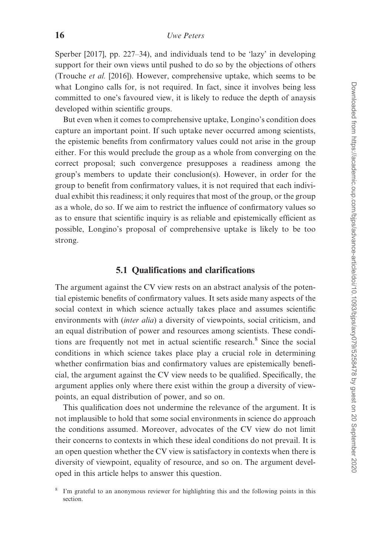[Sperber \[2017\]](#page-22-0), pp. 227–34), and individuals tend to be 'lazy' in developing support for their own views until pushed to do so by the objections of others ([Trouche](#page-23-0) et al. [2016]). However, comprehensive uptake, which seems to be what Longino calls for, is not required. In fact, since it involves being less committed to one's favoured view, it is likely to reduce the depth of anaysis developed within scientific groups.

But even when it comes to comprehensive uptake, Longino's condition does capture an important point. If such uptake never occurred among scientists, the epistemic benefits from confirmatory values could not arise in the group either. For this would preclude the group as a whole from converging on the correct proposal; such convergence presupposes a readiness among the group's members to update their conclusion(s). However, in order for the group to benefit from confirmatory values, it is not required that each individual exhibit this readiness; it only requires that most of the group, or the group as a whole, do so. If we aim to restrict the influence of confirmatory values so as to ensure that scientific inquiry is as reliable and epistemically efficient as possible, Longino's proposal of comprehensive uptake is likely to be too strong.

# 5.1 Qualifications and clarifications

The argument against the CV view rests on an abstract analysis of the potential epistemic benefits of confirmatory values. It sets aside many aspects of the social context in which science actually takes place and assumes scientific environments with *(inter alia)* a diversity of viewpoints, social criticism, and an equal distribution of power and resources among scientists. These conditions are frequently not met in actual scientific research.<sup>8</sup> Since the social conditions in which science takes place play a crucial role in determining whether confirmation bias and confirmatory values are epistemically beneficial, the argument against the CV view needs to be qualified. Specifically, the argument applies only where there exist within the group a diversity of viewpoints, an equal distribution of power, and so on.

This qualification does not undermine the relevance of the argument. It is not implausible to hold that some social environments in science do approach the conditions assumed. Moreover, advocates of the CV view do not limit their concerns to contexts in which these ideal conditions do not prevail. It is an open question whether the CV view is satisfactory in contexts when there is diversity of viewpoint, equality of resource, and so on. The argument developed in this article helps to answer this question.

I'm grateful to an anonymous reviewer for highlighting this and the following points in this section.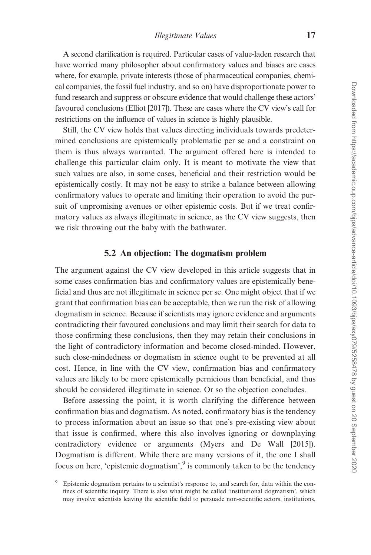A second clarification is required. Particular cases of value-laden research that have worried many philosopher about confirmatory values and biases are cases where, for example, private interests (those of pharmaceutical companies, chemical companies, the fossil fuel industry, and so on) have disproportionate power to fund research and suppress or obscure evidence that would challenge these actors' favoured conclusions ([Elliot \[2017\]](#page-21-0)). These are cases where the CV view's call for restrictions on the influence of values in science is highly plausible.

Still, the CV view holds that values directing individuals towards predetermined conclusions are epistemically problematic per se and a constraint on them is thus always warranted. The argument offered here is intended to challenge this particular claim only. It is meant to motivate the view that such values are also, in some cases, beneficial and their restriction would be epistemically costly. It may not be easy to strike a balance between allowing confirmatory values to operate and limiting their operation to avoid the pursuit of unpromising avenues or other epistemic costs. But if we treat confirmatory values as always illegitimate in science, as the CV view suggests, then we risk throwing out the baby with the bathwater.

## 5.2 An objection: The dogmatism problem

The argument against the CV view developed in this article suggests that in some cases confirmation bias and confirmatory values are epistemically beneficial and thus are not illegitimate in science per se. One might object that if we grant that confirmation bias can be acceptable, then we run the risk of allowing dogmatism in science. Because if scientists may ignore evidence and arguments contradicting their favoured conclusions and may limit their search for data to those confirming these conclusions, then they may retain their conclusions in the light of contradictory information and become closed-minded. However, such close-mindedness or dogmatism in science ought to be prevented at all cost. Hence, in line with the CV view, confirmation bias and confirmatory values are likely to be more epistemically pernicious than beneficial, and thus should be considered illegitimate in science. Or so the objection concludes.

Before assessing the point, it is worth clarifying the difference between confirmation bias and dogmatism. As noted, confirmatory bias is the tendency to process information about an issue so that one's pre-existing view about that issue is confirmed, where this also involves ignoring or downplaying contradictory evidence or arguments [\(Myers and De Wall \[2015\]\)](#page-22-0). Dogmatism is different. While there are many versions of it, the one I shall focus on here, 'epistemic dogmatism', $9$  is commonly taken to be the tendency

Epistemic dogmatism pertains to a scientist's response to, and search for, data within the confines of scientific inquiry. There is also what might be called 'institutional dogmatism', which may involve scientists leaving the scientific field to persuade non-scientific actors, institutions,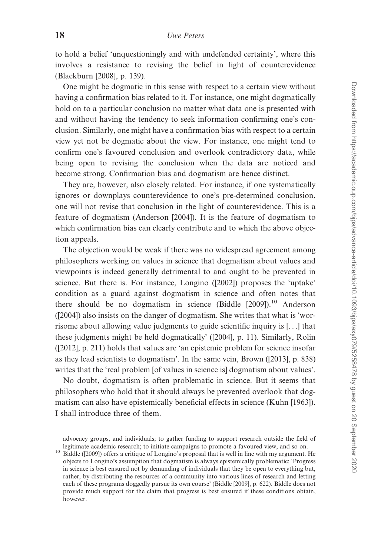to hold a belief 'unquestioningly and with undefended certainty', where this involves a resistance to revising the belief in light of counterevidence ([Blackburn \[2008\]](#page-20-0), p. 139).

One might be dogmatic in this sense with respect to a certain view without having a confirmation bias related to it. For instance, one might dogmatically hold on to a particular conclusion no matter what data one is presented with and without having the tendency to seek information confirming one's conclusion. Similarly, one might have a confirmation bias with respect to a certain view yet not be dogmatic about the view. For instance, one might tend to confirm one's favoured conclusion and overlook contradictory data, while being open to revising the conclusion when the data are noticed and become strong. Confirmation bias and dogmatism are hence distinct.

They are, however, also closely related. For instance, if one systematically ignores or downplays counterevidence to one's pre-determined conclusion, one will not revise that conclusion in the light of counterevidence. This is a feature of dogmatism ([Anderson \[2004\]](#page-20-0)). It is the feature of dogmatism to which confirmation bias can clearly contribute and to which the above objection appeals.

The objection would be weak if there was no widespread agreement among philosophers working on values in science that dogmatism about values and viewpoints is indeed generally detrimental to and ought to be prevented in science. But there is. For instance, Longino ([[2002\]](#page-22-0)) proposes the 'uptake' condition as a guard against dogmatism in science and often notes that there should be no dogmatism in science (Biddle  $[2009]$ ).<sup>10</sup> Anderson ([\[2004](#page-20-0)]) also insists on the danger of dogmatism. She writes that what is 'worrisome about allowing value judgments to guide scientific inquiry is [...] that these judgments might be held dogmatically' ([[2004\]](#page-20-0), p. 11). Similarly, Rolin ([\[2012](#page-22-0)], p. 211) holds that values are 'an epistemic problem for science insofar as they lead scientists to dogmatism'. In the same vein, Brown ([[2013\]](#page-20-0), p. 838) writes that the 'real problem [of values in science is] dogmatism about values'.

No doubt, dogmatism is often problematic in science. But it seems that philosophers who hold that it should always be prevented overlook that dogmatism can also have epistemically beneficial effects in science ([Kuhn \[1963\]\)](#page-21-0). I shall introduce three of them.

advocacy groups, and individuals; to gather funding to support research outside the field of legitimate academic research; to initiate campaigns to promote a favoured view, and so on.

<sup>&</sup>lt;sup>10</sup> Biddle ([\[2009\]](#page-20-0)) offers a critique of Longino's proposal that is well in line with my argument. He objects to Longino's assumption that dogmatism is always epistemically problematic: 'Progress in science is best ensured not by demanding of individuals that they be open to everything but, rather, by distributing the resources of a community into various lines of research and letting each of these programs doggedly pursue its own course' [\(Biddle \[2009\],](#page-20-0) p. 622). Biddle does not provide much support for the claim that progress is best ensured if these conditions obtain, however.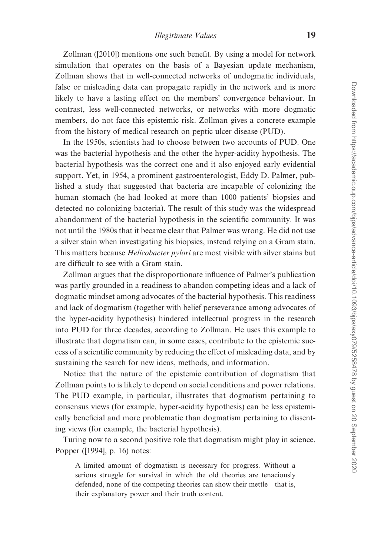Zollman ([\[2010\]](#page-23-0)) mentions one such benefit. By using a model for network simulation that operates on the basis of a Bayesian update mechanism, Zollman shows that in well-connected networks of undogmatic individuals, false or misleading data can propagate rapidly in the network and is more likely to have a lasting effect on the members' convergence behaviour. In contrast, less well-connected networks, or networks with more dogmatic members, do not face this epistemic risk. Zollman gives a concrete example from the history of medical research on peptic ulcer disease (PUD).

In the 1950s, scientists had to choose between two accounts of PUD. One was the bacterial hypothesis and the other the hyper-acidity hypothesis. The bacterial hypothesis was the correct one and it also enjoyed early evidential support. Yet, in 1954, a prominent gastroenterologist, Eddy D. Palmer, published a study that suggested that bacteria are incapable of colonizing the human stomach (he had looked at more than 1000 patients' biopsies and detected no colonizing bacteria). The result of this study was the widespread abandonment of the bacterial hypothesis in the scientific community. It was not until the 1980s that it became clear that Palmer was wrong. He did not use a silver stain when investigating his biopsies, instead relying on a Gram stain. This matters because *Helicobacter pylori* are most visible with silver stains but are difficult to see with a Gram stain.

Zollman argues that the disproportionate influence of Palmer's publication was partly grounded in a readiness to abandon competing ideas and a lack of dogmatic mindset among advocates of the bacterial hypothesis. This readiness and lack of dogmatism (together with belief perseverance among advocates of the hyper-acidity hypothesis) hindered intellectual progress in the research into PUD for three decades, according to Zollman. He uses this example to illustrate that dogmatism can, in some cases, contribute to the epistemic success of a scientific community by reducing the effect of misleading data, and by sustaining the search for new ideas, methods, and information.

Notice that the nature of the epistemic contribution of dogmatism that Zollman points to is likely to depend on social conditions and power relations. The PUD example, in particular, illustrates that dogmatism pertaining to consensus views (for example, hyper-acidity hypothesis) can be less epistemically beneficial and more problematic than dogmatism pertaining to dissenting views (for example, the bacterial hypothesis).

Turing now to a second positive role that dogmatism might play in science, Popper ([[1994](#page-22-0)], p. 16) notes:

A limited amount of dogmatism is necessary for progress. Without a serious struggle for survival in which the old theories are tenaciously defended, none of the competing theories can show their mettle—that is, their explanatory power and their truth content.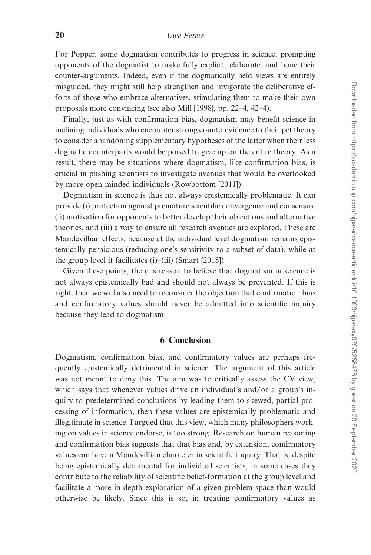For Popper, some dogmatism contributes to progress in science, prompting opponents of the dogmatist to make fully explicit, elaborate, and hone their counter-arguments. Indeed, even if the dogmatically held views are entirely misguided, they might still help strengthen and invigorate the deliberative efforts of those who embrace alternatives, stimulating them to make their own proposals more convincing (see also [Mill \[1998\],](#page-22-0) pp. 22–4, 42–4).

Finally, just as with confirmation bias, dogmatism may benefit science in inclining individuals who encounter strong counterevidence to their pet theory to consider abandoning supplementary hypotheses of the latter when their less dogmatic counterparts would be poised to give up on the entire theory. As a result, there may be situations where dogmatism, like confirmation bias, is crucial in pushing scientists to investigate avenues that would be overlooked by more open-minded individuals [\(Rowbottom \[2011\]](#page-22-0)).

Dogmatism in science is thus not always epistemically problematic. It can provide (i) protection against premature scientific convergence and consensus, (ii) motivation for opponents to better develop their objections and alternative theories, and (iii) a way to ensure all research avenues are explored. These are Mandevillian effects, because at the individual level dogmatism remains epistemically pernicious (reducing one's sensitivity to a subset of data), while at the group level it facilitates (i)–(iii) ([Smart \[2018\]\)](#page-22-0).

Given these points, there is reason to believe that dogmatism in science is not always epistemically bad and should not always be prevented. If this is right, then we will also need to reconsider the objection that confirmation bias and confirmatory values should never be admitted into scientific inquiry because they lead to dogmatism.

## 6 Conclusion

Dogmatism, confirmation bias, and confirmatory values are perhaps frequently epistemically detrimental in science. The argument of this article was not meant to deny this. The aim was to critically assess the CV view, which says that whenever values drive an individual's and/or a group's inquiry to predetermined conclusions by leading them to skewed, partial processing of information, then these values are epistemically problematic and illegitimate in science. I argued that this view, which many philosophers working on values in science endorse, is too strong. Research on human reasoning and confirmation bias suggests that that bias and, by extension, confirmatory values can have a Mandevillian character in scientific inquiry. That is, despite being epistemically detrimental for individual scientists, in some cases they contribute to the reliability of scientific belief-formation at the group level and facilitate a more in-depth exploration of a given problem space than would otherwise be likely. Since this is so, in treating confirmatory values as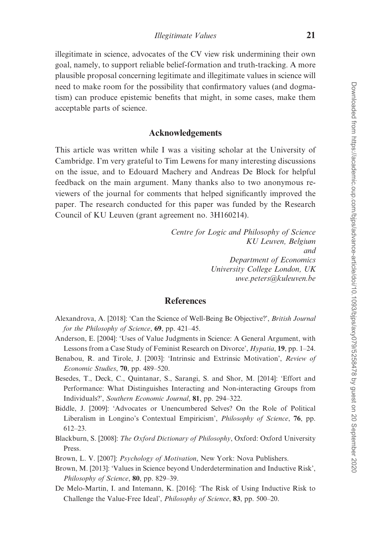<span id="page-20-0"></span>illegitimate in science, advocates of the CV view risk undermining their own goal, namely, to support reliable belief-formation and truth-tracking. A more plausible proposal concerning legitimate and illegitimate values in science will need to make room for the possibility that confirmatory values (and dogmatism) can produce epistemic benefits that might, in some cases, make them acceptable parts of science.

#### Acknowledgements

This article was written while I was a visiting scholar at the University of Cambridge. I'm very grateful to Tim Lewens for many interesting discussions on the issue, and to Edouard Machery and Andreas De Block for helpful feedback on the main argument. Many thanks also to two anonymous reviewers of the journal for comments that helped significantly improved the paper. The research conducted for this paper was funded by the Research Council of KU Leuven (grant agreement no. 3H160214).

> Centre for Logic and Philosophy of Science KU Leuven, Belgium and Department of Economics University College London, UK uwe.peters@kuleuven.be

### **References**

- Alexandrova, A. [2018]: 'Can the Science of Well-Being Be Objective?', British Journal for the Philosophy of Science, 69, pp. 421–45.
- Anderson, E. [2004]: 'Uses of Value Judgments in Science: A General Argument, with Lessons from a Case Study of Feminist Research on Divorce', Hypatia, 19, pp. 1–24.
- Benabou, R. and Tirole, J. [2003]: 'Intrinsic and Extrinsic Motivation', Review of Economic Studies, 70, pp. 489–520.
- Besedes, T., Deck, C., Quintanar, S., Sarangi, S. and Shor, M. [2014]: 'Effort and Performance: What Distinguishes Interacting and Non-interacting Groups from Individuals?', Southern Economic Journal, 81, pp. 294–322.
- Biddle, J. [2009]: 'Advocates or Unencumbered Selves? On the Role of Political Liberalism in Longino's Contextual Empiricism', Philosophy of Science, 76, pp. 612–23.
- Blackburn, S. [2008]: The Oxford Dictionary of Philosophy, Oxford: Oxford University Press.
- Brown, L. V. [2007]: *Psychology of Motivation*, New York: Nova Publishers.
- Brown, M. [2013]: 'Values in Science beyond Underdetermination and Inductive Risk', Philosophy of Science, 80, pp. 829–39.
- De Melo-Martin, I. and Intemann, K. [2016]: 'The Risk of Using Inductive Risk to Challenge the Value-Free Ideal', Philosophy of Science, 83, pp. 500–20.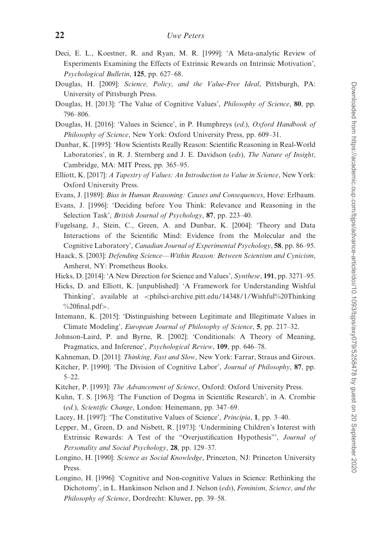- <span id="page-21-0"></span>Deci, E. L., Koestner, R. and Ryan, M. R. [1999]: 'A Meta-analytic Review of Experiments Examining the Effects of Extrinsic Rewards on Intrinsic Motivation', Psychological Bulletin, 125, pp. 627–68.
- Douglas, H. [2009]: Science, Policy, and the Value-Free Ideal, Pittsburgh, PA: University of Pittsburgh Press.
- Douglas, H. [2013]: 'The Value of Cognitive Values', *Philosophy of Science*, 80, pp. 796–806.
- Douglas, H. [2016]: 'Values in Science', in P. Humphreys (ed.), Oxford Handbook of Philosophy of Science, New York: Oxford University Press, pp. 609–31.
- Dunbar, K. [1995]: 'How Scientists Really Reason: Scientific Reasoning in Real-World Laboratories', in R. J. Sternberg and J. E. Davidson (eds), The Nature of Insight, Cambridge, MA: MIT Press, pp. 365–95.
- Elliott, K. [2017]: A Tapestry of Values: An Introduction to Value in Science, New York: Oxford University Press.
- Evans, J. [1989]: Bias in Human Reasoning: Causes and Consequences, Hove: Erlbaum.
- Evans, J. [1996]: 'Deciding before You Think: Relevance and Reasoning in the Selection Task', *British Journal of Psychology*, 87, pp. 223–40.
- Fugelsang, J., Stein, C., Green, A. and Dunbar, K. [2004]: 'Theory and Data Interactions of the Scientific Mind: Evidence from the Molecular and the Cognitive Laboratory', Canadian Journal of Experimental Psychology, 58, pp. 86–95.
- Haack, S. [2003]: Defending Science—Within Reason: Between Scientism and Cynicism, Amherst, NY: Prometheus Books.
- Hicks, D. [2014]: 'A New Direction for Science and Values', Synthese, 191, pp. 3271–95.
- Hicks, D. and Elliott, K. [unpublished]: 'A Framework for Understanding Wishful Thinking', available at <[philsci-archive.pitt.edu/14348/1/Wishful%20Thinking](http://philsci-archive.pitt.edu/14348/1/Wishful%20Thinking%20final.pdf)  $\%$ 20final.pdf>.
- Intemann, K. [2015]: 'Distinguishing between Legitimate and Illegitimate Values in Climate Modeling', European Journal of Philosophy of Science, 5, pp. 217–32.
- Johnson-Laird, P. and Byrne, R. [2002]: 'Conditionals: A Theory of Meaning, Pragmatics, and Inference', Psychological Review, 109, pp. 646–78.
- Kahneman, D. [2011]: Thinking, Fast and Slow, New York: Farrar, Straus and Giroux.
- Kitcher, P. [1990]: 'The Division of Cognitive Labor', Journal of Philosophy, 87, pp. 5–22.
- Kitcher, P. [1993]: The Advancement of Science, Oxford: Oxford University Press.
- Kuhn, T. S. [1963]: 'The Function of Dogma in Scientific Research', in A. Crombie (ed.), Scientific Change, London: Heinemann, pp. 347–69.
- Lacey, H. [1997]: 'The Constitutive Values of Science', Principia, 1, pp. 3–40.
- Lepper, M., Green, D. and Nisbett, R. [1973]: 'Undermining Children's Interest with Extrinsic Rewards: A Test of the "Overjustification Hypothesis"', Journal of Personality and Social Psychology, 28, pp. 129–37.
- Longino, H. [1990]: Science as Social Knowledge, Princeton, NJ: Princeton University Press.
- Longino, H. [1996]: 'Cognitive and Non-cognitive Values in Science: Rethinking the Dichotomy', in L. Hankinson Nelson and J. Nelson (eds), Feminism, Science, and the Philosophy of Science, Dordrecht: Kluwer, pp. 39–58.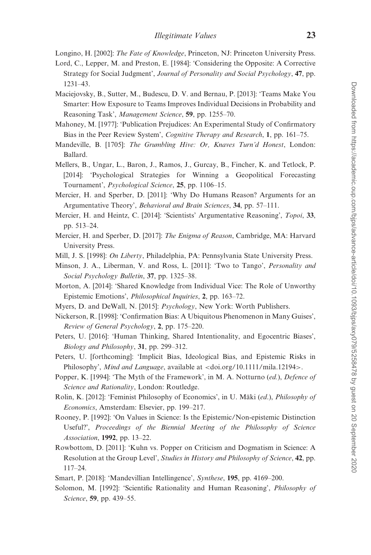<span id="page-22-0"></span>Longino, H. [2002]: The Fate of Knowledge, Princeton, NJ: Princeton University Press.

- Lord, C., Lepper, M. and Preston, E. [1984]: 'Considering the Opposite: A Corrective Strategy for Social Judgment', Journal of Personality and Social Psychology, 47, pp. 1231–43.
- Maciejovsky, B., Sutter, M., Budescu, D. V. and Bernau, P. [2013]: 'Teams Make You Smarter: How Exposure to Teams Improves Individual Decisions in Probability and Reasoning Task', Management Science, 59, pp. 1255–70.
- Mahoney, M. [1977]: 'Publication Prejudices: An Experimental Study of Confirmatory Bias in the Peer Review System', Cognitive Therapy and Research, 1, pp. 161–75.
- Mandeville, B. [1705]: The Grumbling Hive: Or, Knaves Turn'd Honest, London: Ballard.
- Mellers, B., Ungar, L., Baron, J., Ramos, J., Gurcay, B., Fincher, K. and Tetlock, P. [2014]: 'Psychological Strategies for Winning a Geopolitical Forecasting Tournament', Psychological Science, 25, pp. 1106–15.
- Mercier, H. and Sperber, D. [2011]: 'Why Do Humans Reason? Arguments for an Argumentative Theory', Behavioral and Brain Sciences, 34, pp. 57–111.
- Mercier, H. and Heintz, C. [2014]: 'Scientists' Argumentative Reasoning', *Topoi*, 33, pp. 513–24.
- Mercier, H. and Sperber, D. [2017]: The Enigma of Reason, Cambridge, MA: Harvard University Press.
- Mill, J. S. [1998]: On Liberty, Philadelphia, PA: Pennsylvania State University Press.
- Minson, J. A., Liberman, V. and Ross, L. [2011]: 'Two to Tango', Personality and Social Psychology Bulletin, 37, pp. 1325–38.
- Morton, A. [2014]: 'Shared Knowledge from Individual Vice: The Role of Unworthy Epistemic Emotions', Philosophical Inquiries, 2, pp. 163–72.
- Myers, D. and DeWall, N. [2015]: Psychology, New York: Worth Publishers.
- Nickerson, R. [1998]: 'Confirmation Bias: A Ubiquitous Phenomenon in Many Guises', Review of General Psychology, 2, pp. 175–220.
- Peters, U. [2016]: 'Human Thinking, Shared Intentionality, and Egocentric Biases', Biology and Philosophy, 31, pp. 299–312.
- Peters, U. [forthcoming]: 'Implicit Bias, Ideological Bias, and Epistemic Risks in Philosophy', Mind and Language, available at <doi.org/10.1111/mila.12194>.
- Popper, K. [1994]: 'The Myth of the Framework', in M. A. Notturno (ed.), Defence of Science and Rationality, London: Routledge.
- Rolin, K. [2012]: 'Feminist Philosophy of Economics', in U. Mäki (ed.), *Philosophy of* Economics, Amsterdam: Elsevier, pp. 199–217.
- Rooney, P. [1992]: 'On Values in Science: Is the Epistemic/Non-epistemic Distinction Useful?', Proceedings of the Biennial Meeting of the Philosophy of Science Association, 1992, pp. 13–22.
- Rowbottom, D. [2011]: 'Kuhn vs. Popper on Criticism and Dogmatism in Science: A Resolution at the Group Level', Studies in History and Philosophy of Science, 42, pp. 117–24.
- Smart, P. [2018]: 'Mandevillian Intellingence', Synthese, 195, pp. 4169–200.
- Solomon, M. [1992]: 'Scientific Rationality and Human Reasoning', Philosophy of Science, 59, pp. 439–55.